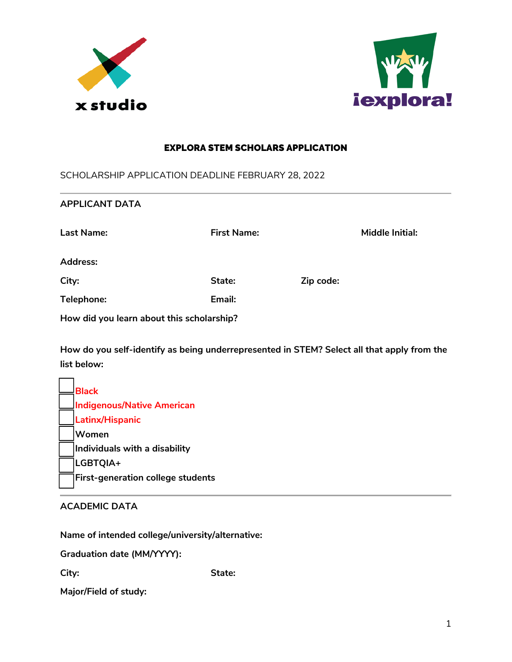



### EXPLORA STEM SCHOLARS APPLICATION

SCHOLARSHIP APPLICATION DEADLINE FEBRUARY 28, 2022

| <b>First Name:</b>                        |           | <b>Middle Initial:</b>                                                                     |
|-------------------------------------------|-----------|--------------------------------------------------------------------------------------------|
|                                           |           |                                                                                            |
| State:                                    | Zip code: |                                                                                            |
| Email:                                    |           |                                                                                            |
| How did you learn about this scholarship? |           |                                                                                            |
|                                           |           |                                                                                            |
|                                           |           | How do you self-identify as being underrepresented in STEM? Select all that apply from the |

 **Black Indigenous/Native American Latinx/Hispanic Women Individuals with a disability LGBTQIA+ First-generation college students** 

# **ACADEMIC DATA**

**Name of intended college/university/alternative:** 

**Graduation date (MM/YYYY):** 

**City: State:** 

**Major/Field of study:**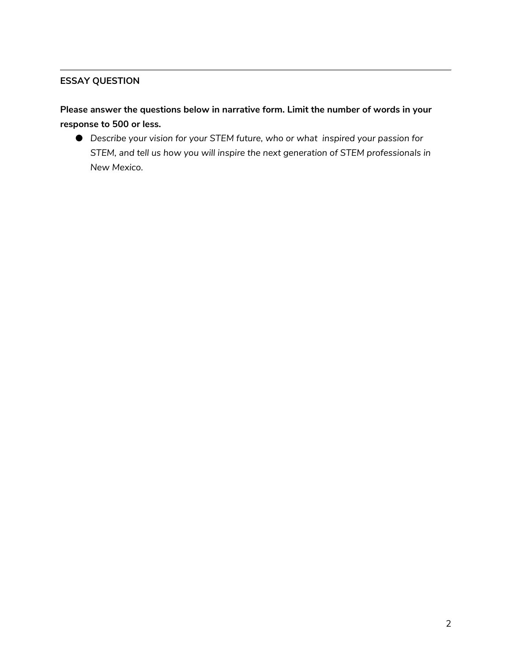# **ESSAY QUESTION**

**Please answer the questions below in narrative form. Limit the number of words in your response to 500 or less.** 

● *Describe your vision for your STEM future, who or what inspired your passion for STEM, and tell us how you will inspire the next generation of STEM professionals in New Mexico.*